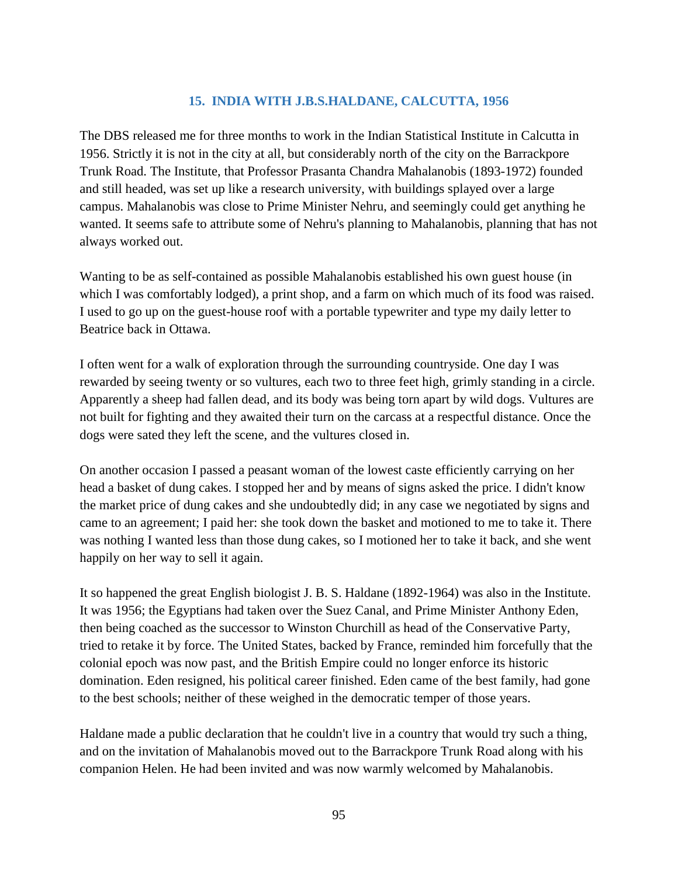## **15. INDIA WITH J.B.S.HALDANE, CALCUTTA, 1956**

The DBS released me for three months to work in the Indian Statistical Institute in Calcutta in 1956. Strictly it is not in the city at all, but considerably north of the city on the Barrackpore Trunk Road. The Institute, that Professor Prasanta Chandra Mahalanobis (1893-1972) founded and still headed, was set up like a research university, with buildings splayed over a large campus. Mahalanobis was close to Prime Minister Nehru, and seemingly could get anything he wanted. It seems safe to attribute some of Nehru's planning to Mahalanobis, planning that has not always worked out.

Wanting to be as self-contained as possible Mahalanobis established his own guest house (in which I was comfortably lodged), a print shop, and a farm on which much of its food was raised. I used to go up on the guest-house roof with a portable typewriter and type my daily letter to Beatrice back in Ottawa.

I often went for a walk of exploration through the surrounding countryside. One day I was rewarded by seeing twenty or so vultures, each two to three feet high, grimly standing in a circle. Apparently a sheep had fallen dead, and its body was being torn apart by wild dogs. Vultures are not built for fighting and they awaited their turn on the carcass at a respectful distance. Once the dogs were sated they left the scene, and the vultures closed in.

On another occasion I passed a peasant woman of the lowest caste efficiently carrying on her head a basket of dung cakes. I stopped her and by means of signs asked the price. I didn't know the market price of dung cakes and she undoubtedly did; in any case we negotiated by signs and came to an agreement; I paid her: she took down the basket and motioned to me to take it. There was nothing I wanted less than those dung cakes, so I motioned her to take it back, and she went happily on her way to sell it again.

It so happened the great English biologist J. B. S. Haldane (1892-1964) was also in the Institute. It was 1956; the Egyptians had taken over the Suez Canal, and Prime Minister Anthony Eden, then being coached as the successor to Winston Churchill as head of the Conservative Party, tried to retake it by force. The United States, backed by France, reminded him forcefully that the colonial epoch was now past, and the British Empire could no longer enforce its historic domination. Eden resigned, his political career finished. Eden came of the best family, had gone to the best schools; neither of these weighed in the democratic temper of those years.

Haldane made a public declaration that he couldn't live in a country that would try such a thing, and on the invitation of Mahalanobis moved out to the Barrackpore Trunk Road along with his companion Helen. He had been invited and was now warmly welcomed by Mahalanobis.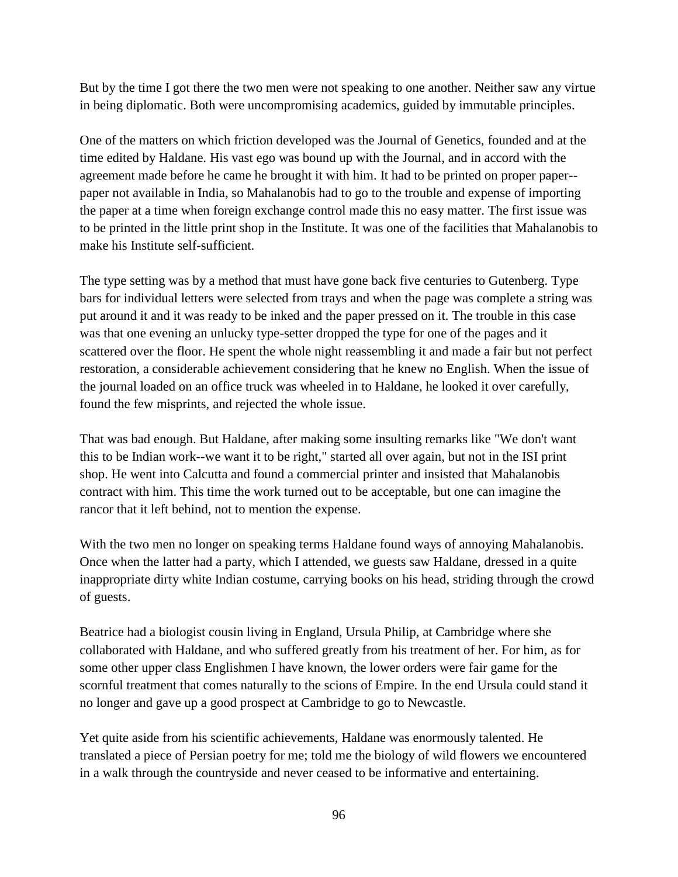But by the time I got there the two men were not speaking to one another. Neither saw any virtue in being diplomatic. Both were uncompromising academics, guided by immutable principles.

One of the matters on which friction developed was the Journal of Genetics, founded and at the time edited by Haldane. His vast ego was bound up with the Journal, and in accord with the agreement made before he came he brought it with him. It had to be printed on proper paper- paper not available in India, so Mahalanobis had to go to the trouble and expense of importing the paper at a time when foreign exchange control made this no easy matter. The first issue was to be printed in the little print shop in the Institute. It was one of the facilities that Mahalanobis to make his Institute self-sufficient.

The type setting was by a method that must have gone back five centuries to Gutenberg. Type bars for individual letters were selected from trays and when the page was complete a string was put around it and it was ready to be inked and the paper pressed on it. The trouble in this case was that one evening an unlucky type-setter dropped the type for one of the pages and it scattered over the floor. He spent the whole night reassembling it and made a fair but not perfect restoration, a considerable achievement considering that he knew no English. When the issue of the journal loaded on an office truck was wheeled in to Haldane, he looked it over carefully, found the few misprints, and rejected the whole issue.

That was bad enough. But Haldane, after making some insulting remarks like "We don't want this to be Indian work--we want it to be right," started all over again, but not in the ISI print shop. He went into Calcutta and found a commercial printer and insisted that Mahalanobis contract with him. This time the work turned out to be acceptable, but one can imagine the rancor that it left behind, not to mention the expense.

With the two men no longer on speaking terms Haldane found ways of annoying Mahalanobis. Once when the latter had a party, which I attended, we guests saw Haldane, dressed in a quite inappropriate dirty white Indian costume, carrying books on his head, striding through the crowd of guests.

Beatrice had a biologist cousin living in England, Ursula Philip, at Cambridge where she collaborated with Haldane, and who suffered greatly from his treatment of her. For him, as for some other upper class Englishmen I have known, the lower orders were fair game for the scornful treatment that comes naturally to the scions of Empire. In the end Ursula could stand it no longer and gave up a good prospect at Cambridge to go to Newcastle.

Yet quite aside from his scientific achievements, Haldane was enormously talented. He translated a piece of Persian poetry for me; told me the biology of wild flowers we encountered in a walk through the countryside and never ceased to be informative and entertaining.